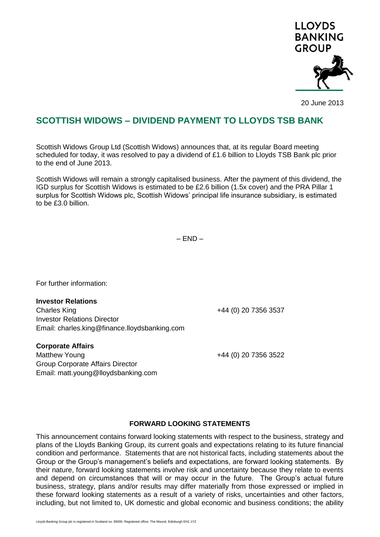

20 June 2013

## **SCOTTISH WIDOWS – DIVIDEND PAYMENT TO LLOYDS TSB BANK**

Scottish Widows Group Ltd (Scottish Widows) announces that, at its regular Board meeting scheduled for today, it was resolved to pay a dividend of £1.6 billion to Lloyds TSB Bank plc prior to the end of June 2013.

Scottish Widows will remain a strongly capitalised business. After the payment of this dividend, the IGD surplus for Scottish Widows is estimated to be £2.6 billion (1.5x cover) and the PRA Pillar 1 surplus for Scottish Widows plc, Scottish Widows' principal life insurance subsidiary, is estimated to be £3.0 billion.

 $-$  END  $-$ 

For further information:

**Investor Relations** Charles King **1988** 20 20 20 20 3537 Investor Relations Director Email: charles.king@finance.lloydsbanking.com

**Corporate Affairs**

Matthew Young +44 (0) 20 7356 3522 Group Corporate Affairs Director Email: matt.young@lloydsbanking.com

## **FORWARD LOOKING STATEMENTS**

This announcement contains forward looking statements with respect to the business, strategy and plans of the Lloyds Banking Group, its current goals and expectations relating to its future financial condition and performance. Statements that are not historical facts, including statements about the Group or the Group's management's beliefs and expectations, are forward looking statements. By their nature, forward looking statements involve risk and uncertainty because they relate to events and depend on circumstances that will or may occur in the future. The Group's actual future business, strategy, plans and/or results may differ materially from those expressed or implied in these forward looking statements as a result of a variety of risks, uncertainties and other factors, including, but not limited to, UK domestic and global economic and business conditions; the ability